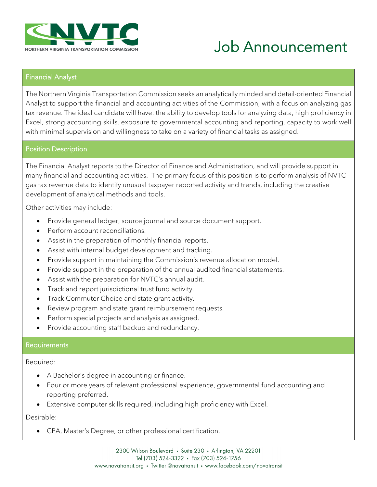

# Job Announcement

#### Financial Analyst

The Northern Virginia Transportation Commission seeks an analytically minded and detail-oriented Financial Analyst to support the financial and accounting activities of the Commission, with a focus on analyzing gas tax revenue. The ideal candidate will have: the ability to develop tools for analyzing data, high proficiency in Excel, strong accounting skills, exposure to governmental accounting and reporting, capacity to work well with minimal supervision and willingness to take on a variety of financial tasks as assigned.

#### Position Description

The Financial Analyst reports to the Director of Finance and Administration, and will provide support in many financial and accounting activities. The primary focus of this position is to perform analysis of NVTC gas tax revenue data to identify unusual taxpayer reported activity and trends, including the creative development of analytical methods and tools.

Other activities may include:

- Provide general ledger, source journal and source document support.
- Perform account reconciliations.
- Assist in the preparation of monthly financial reports.
- Assist with internal budget development and tracking.
- Provide support in maintaining the Commission's revenue allocation model.
- Provide support in the preparation of the annual audited financial statements.
- Assist with the preparation for NVTC's annual audit.
- Track and report jurisdictional trust fund activity.
- Track Commuter Choice and state grant activity.
- Review program and state grant reimbursement requests.
- Perform special projects and analysis as assigned.
- Provide accounting staff backup and redundancy.

#### **Requirements**

Required:

- A Bachelor's degree in accounting or finance.
- Four or more years of relevant professional experience, governmental fund accounting and reporting preferred.
- Extensive computer skills required, including high proficiency with Excel.

Desirable:

• CPA, Master's Degree, or other professional certification.